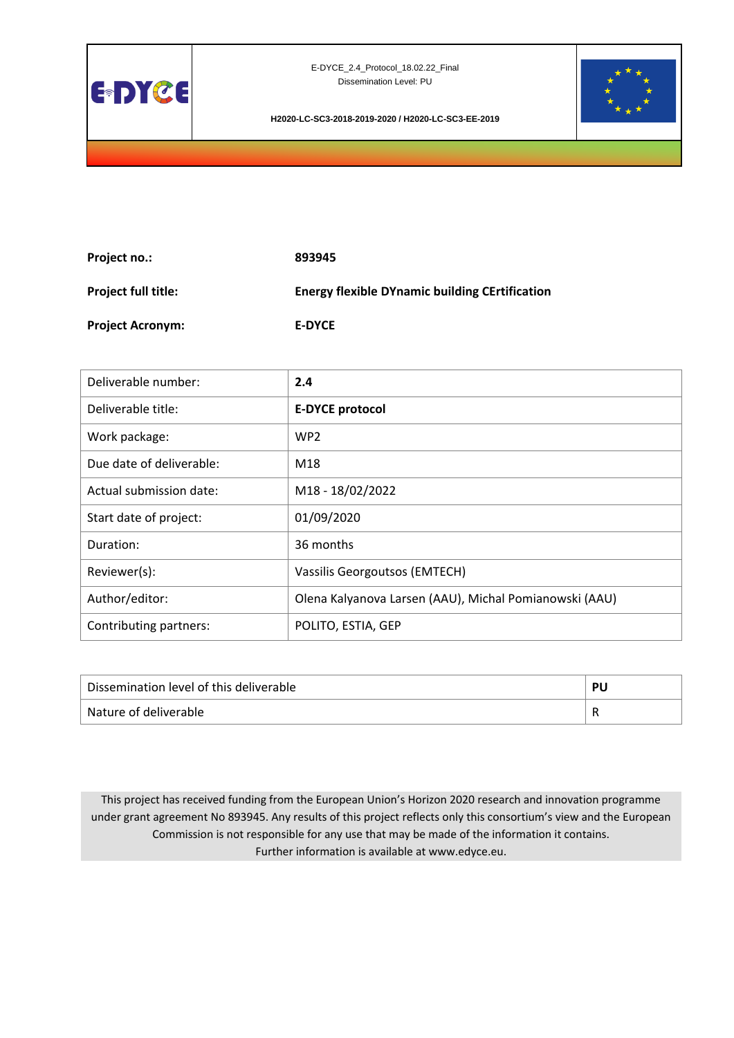



**H2020-LC-SC3-2018-2019-2020 / H2020-LC-SC3-EE-2019**

| <b>Project no.:</b>        | 893945                                                |
|----------------------------|-------------------------------------------------------|
| <b>Project full title:</b> | <b>Energy flexible DYnamic building CErtification</b> |
| <b>Project Acronym:</b>    | <b>E-DYCE</b>                                         |

| Deliverable number:      | 2.4                                                    |
|--------------------------|--------------------------------------------------------|
| Deliverable title:       | <b>E-DYCE protocol</b>                                 |
| Work package:            | WP <sub>2</sub>                                        |
| Due date of deliverable: | M18                                                    |
| Actual submission date:  | M18 - 18/02/2022                                       |
| Start date of project:   | 01/09/2020                                             |
| Duration:                | 36 months                                              |
| Reviewer(s):             | Vassilis Georgoutsos (EMTECH)                          |
| Author/editor:           | Olena Kalyanova Larsen (AAU), Michal Pomianowski (AAU) |
| Contributing partners:   | POLITO, ESTIA, GEP                                     |

| Dissemination level of this deliverable | DІ |
|-----------------------------------------|----|
| Nature of deliverable                   |    |

This project has received funding from the European Union's Horizon 2020 research and innovation programme under grant agreement No 893945. Any results of this project reflects only this consortium's view and the European Commission is not responsible for any use that may be made of the information it contains. Further information is available at www.edyce.eu.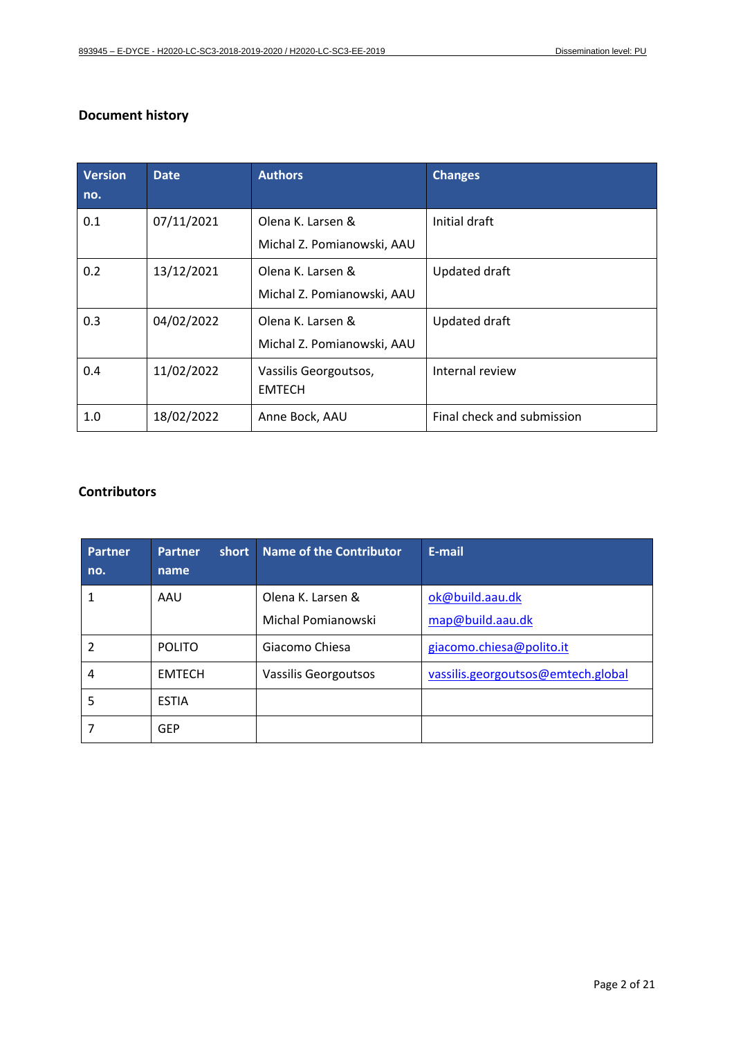## **Document history**

| <b>Version</b><br>no. | <b>Date</b> | <b>Authors</b>                                  | <b>Changes</b>             |
|-----------------------|-------------|-------------------------------------------------|----------------------------|
| 0.1                   | 07/11/2021  | Olena K. Larsen &<br>Michal Z. Pomianowski, AAU | Initial draft              |
| 0.2                   | 13/12/2021  | Olena K. Larsen &<br>Michal Z. Pomianowski, AAU | Updated draft              |
| 0.3                   | 04/02/2022  | Olena K. Larsen &<br>Michal Z. Pomianowski, AAU | Updated draft              |
| 0.4                   | 11/02/2022  | Vassilis Georgoutsos,<br><b>EMTECH</b>          | Internal review            |
| 1.0                   | 18/02/2022  | Anne Bock, AAU                                  | Final check and submission |

## **Contributors**

| <b>Partner</b><br>no. | short<br><b>Partner</b><br>name | Name of the Contributor | E-mail                             |
|-----------------------|---------------------------------|-------------------------|------------------------------------|
| 1                     | AAU                             | Olena K. Larsen &       | ok@build.aau.dk                    |
|                       |                                 | Michal Pomianowski      | map@build.aau.dk                   |
| 2                     | <b>POLITO</b>                   | Giacomo Chiesa          | giacomo.chiesa@polito.it           |
| 4                     | <b>EMTECH</b>                   | Vassilis Georgoutsos    | vassilis.georgoutsos@emtech.global |
| 5                     | <b>ESTIA</b>                    |                         |                                    |
|                       | <b>GEP</b>                      |                         |                                    |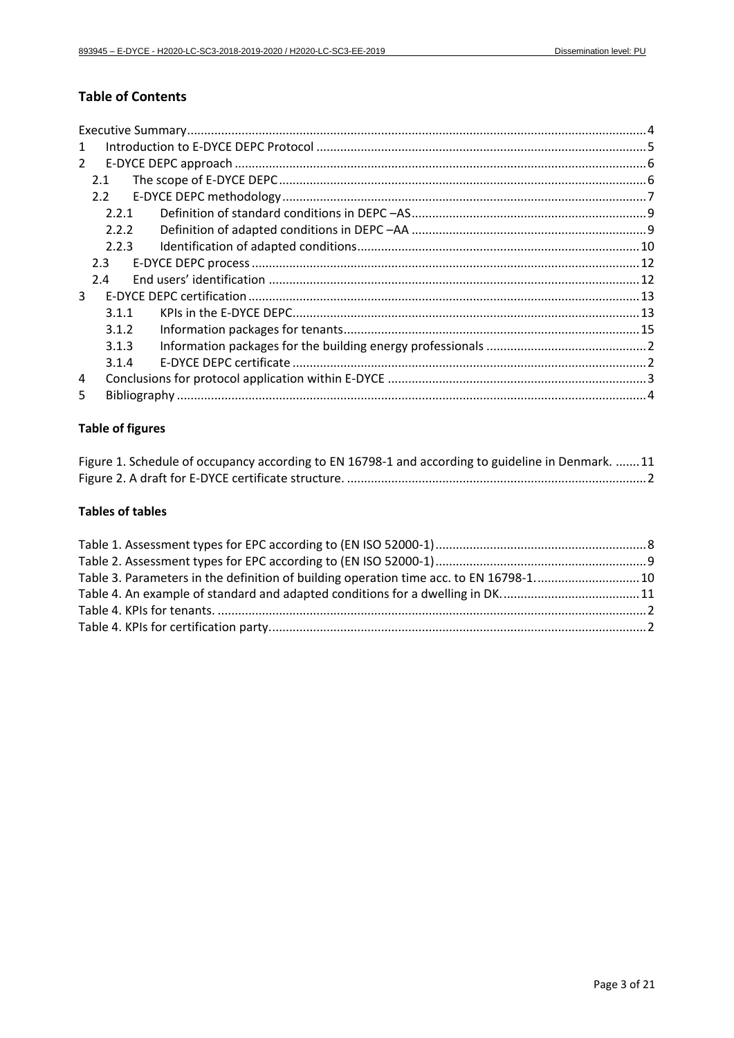# **Table of Contents**

| 1              |       |  |
|----------------|-------|--|
| $\mathcal{L}$  |       |  |
|                | 2.1   |  |
|                | 2.2   |  |
|                | 2.2.1 |  |
|                | 2.2.2 |  |
|                | 2.2.3 |  |
|                | 2.3   |  |
|                | 2.4   |  |
| 3 <sup>1</sup> |       |  |
|                | 3.1.1 |  |
|                | 3.1.2 |  |
|                | 3.1.3 |  |
|                | 3.1.4 |  |
| 4              |       |  |
| 5              |       |  |

## **Table of figures**

| Figure 1. Schedule of occupancy according to EN 16798-1 and according to guideline in Denmark. 11 |  |
|---------------------------------------------------------------------------------------------------|--|
|                                                                                                   |  |

## **Tables of tables**

| Table 3. Parameters in the definition of building operation time acc. to EN 16798-110 |  |
|---------------------------------------------------------------------------------------|--|
| Table 4. An example of standard and adapted conditions for a dwelling in DK11         |  |
|                                                                                       |  |
|                                                                                       |  |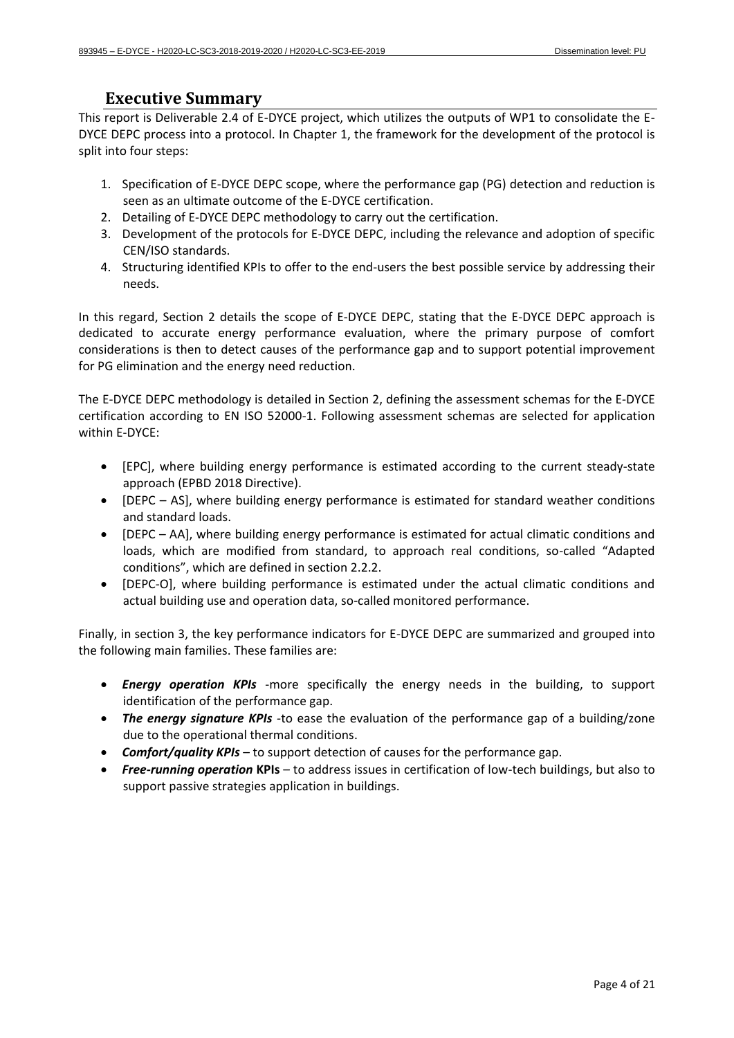## **Executive Summary**

<span id="page-3-0"></span>This report is Deliverable 2.4 of E-DYCE project, which utilizes the outputs of WP1 to consolidate the E-DYCE DEPC process into a protocol. In Chapter 1, the framework for the development of the protocol is split into four steps:

- 1. Specification of E-DYCE DEPC scope, where the performance gap (PG) detection and reduction is seen as an ultimate outcome of the E-DYCE certification.
- 2. Detailing of E-DYCE DEPC methodology to carry out the certification.
- 3. Development of the protocols for E-DYCE DEPC, including the relevance and adoption of specific CEN/ISO standards.
- 4. Structuring identified KPIs to offer to the end-users the best possible service by addressing their needs.

In this regard, Section 2 details the scope of E-DYCE DEPC, stating that the E-DYCE DEPC approach is dedicated to accurate energy performance evaluation, where the primary purpose of comfort considerations is then to detect causes of the performance gap and to support potential improvement for PG elimination and the energy need reduction.

The E-DYCE DEPC methodology is detailed in Section 2, defining the assessment schemas for the E-DYCE certification according to EN ISO 52000-1. Following assessment schemas are selected for application within E-DYCE:

- [EPC], where building energy performance is estimated according to the current steady-state approach (EPBD 2018 Directive).
- [DEPC AS], where building energy performance is estimated for standard weather conditions and standard loads.
- [DEPC AA], where building energy performance is estimated for actual climatic conditions and loads, which are modified from standard, to approach real conditions, so-called "Adapted conditions", which are defined in section [2.2.2.](#page-8-1)
- [DEPC-O], where building performance is estimated under the actual climatic conditions and actual building use and operation data, so-called monitored performance.

Finally, in section 3, the key performance indicators for E-DYCE DEPC are summarized and grouped into the following main families. These families are:

- *Energy operation KPIs* -more specifically the energy needs in the building, to support identification of the performance gap.
- *The energy signature KPIs -*to ease the evaluation of the performance gap of a building/zone due to the operational thermal conditions.
- *Comfort/quality KPIs* to support detection of causes for the performance gap.
- *Free-running operation* **KPIs** to address issues in certification of low-tech buildings, but also to support passive strategies application in buildings.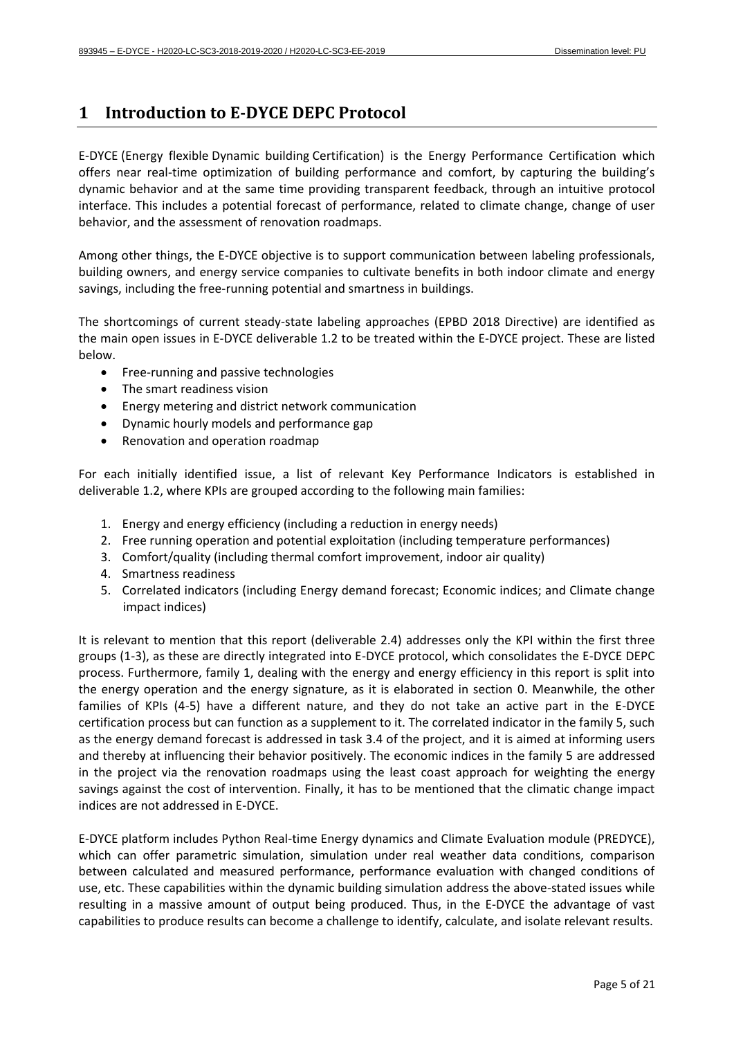# <span id="page-4-0"></span>**1 Introduction to E-DYCE DEPC Protocol**

E-DYCE (Energy flexible Dynamic building Certification) is the Energy Performance Certification which offers near real-time optimization of building performance and comfort, by capturing the building's dynamic behavior and at the same time providing transparent feedback, through an intuitive protocol interface. This includes a potential forecast of performance, related to climate change, change of user behavior, and the assessment of renovation roadmaps.

Among other things, the E-DYCE objective is to support communication between labeling professionals, building owners, and energy service companies to cultivate benefits in both indoor climate and energy savings, including the free-running potential and smartness in buildings.

The shortcomings of current steady-state labeling approaches (EPBD 2018 Directive) are identified as the main open issues in E-DYCE deliverable 1.2 to be treated within the E-DYCE project. These are listed below.

- Free-running and passive technologies
- The smart readiness vision
- Energy metering and district network communication
- Dynamic hourly models and performance gap
- Renovation and operation roadmap

For each initially identified issue, a list of relevant Key Performance Indicators is established in deliverable 1.2, where KPIs are grouped according to the following main families:

- 1. Energy and energy efficiency (including a reduction in energy needs)
- 2. Free running operation and potential exploitation (including temperature performances)
- 3. Comfort/quality (including thermal comfort improvement, indoor air quality)
- 4. Smartness readiness
- 5. Correlated indicators (including Energy demand forecast; Economic indices; and Climate change impact indices)

It is relevant to mention that this report (deliverable 2.4) addresses only the KPI within the first three groups (1-3), as these are directly integrated into E-DYCE protocol, which consolidates the E-DYCE DEPC process. Furthermore, family 1, dealing with the energy and energy efficiency in this report is split into the energy operation and the energy signature, as it is elaborated in section [0.](#page-12-0) Meanwhile, the other families of KPIs (4-5) have a different nature, and they do not take an active part in the E-DYCE certification process but can function as a supplement to it. The correlated indicator in the family 5, such as the energy demand forecast is addressed in task 3.4 of the project, and it is aimed at informing users and thereby at influencing their behavior positively. The economic indices in the family 5 are addressed in the project via the renovation roadmaps using the least coast approach for weighting the energy savings against the cost of intervention. Finally, it has to be mentioned that the climatic change impact indices are not addressed in E-DYCE.

E-DYCE platform includes Python Real-time Energy dynamics and Climate Evaluation module (PREDYCE), which can offer parametric simulation, simulation under real weather data conditions, comparison between calculated and measured performance, performance evaluation with changed conditions of use, etc. These capabilities within the dynamic building simulation address the above-stated issues while resulting in a massive amount of output being produced. Thus, in the E-DYCE the advantage of vast capabilities to produce results can become a challenge to identify, calculate, and isolate relevant results.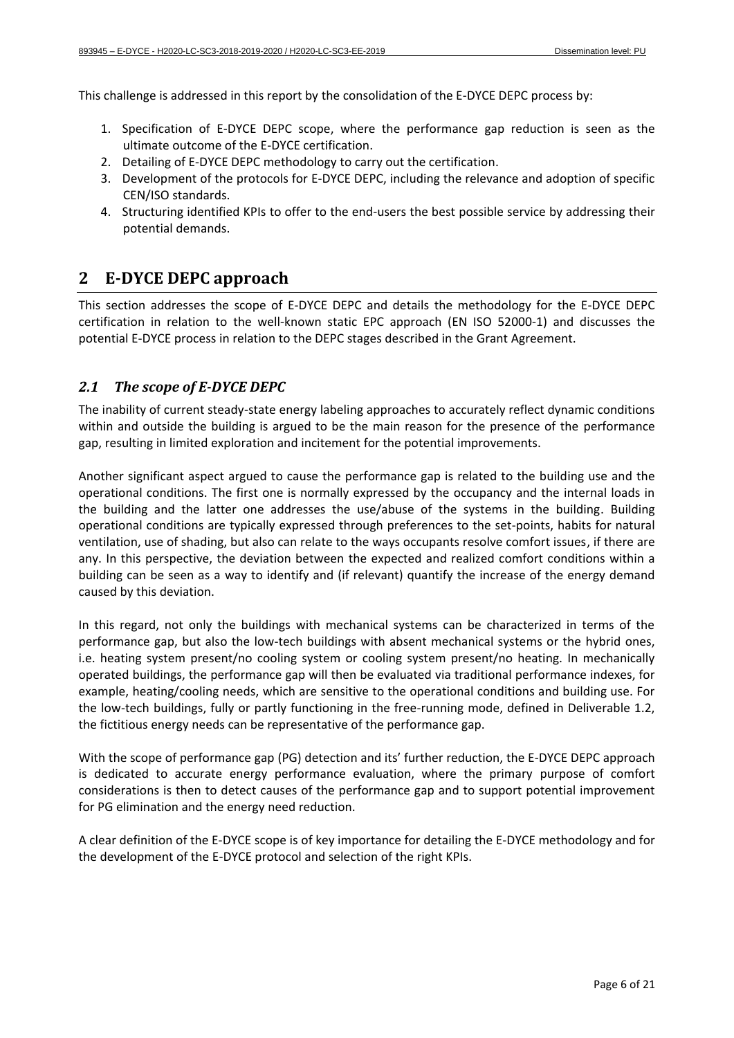This challenge is addressed in this report by the consolidation of the E-DYCE DEPC process by:

- 1. Specification of E-DYCE DEPC scope, where the performance gap reduction is seen as the ultimate outcome of the E-DYCE certification.
- 2. Detailing of E-DYCE DEPC methodology to carry out the certification.
- 3. Development of the protocols for E-DYCE DEPC, including the relevance and adoption of specific CEN/ISO standards.
- 4. Structuring identified KPIs to offer to the end-users the best possible service by addressing their potential demands.

## <span id="page-5-0"></span>**2 E-DYCE DEPC approach**

This section addresses the scope of E-DYCE DEPC and details the methodology for the E-DYCE DEPC certification in relation to the well-known static EPC approach (EN ISO 52000-1) and discusses the potential E-DYCE process in relation to the DEPC stages described in the Grant Agreement.

### <span id="page-5-1"></span>*2.1 The scope of E-DYCE DEPC*

The inability of current steady-state energy labeling approaches to accurately reflect dynamic conditions within and outside the building is argued to be the main reason for the presence of the performance gap, resulting in limited exploration and incitement for the potential improvements.

Another significant aspect argued to cause the performance gap is related to the building use and the operational conditions. The first one is normally expressed by the occupancy and the internal loads in the building and the latter one addresses the use/abuse of the systems in the building. Building operational conditions are typically expressed through preferences to the set-points, habits for natural ventilation, use of shading, but also can relate to the ways occupants resolve comfort issues, if there are any. In this perspective, the deviation between the expected and realized comfort conditions within a building can be seen as a way to identify and (if relevant) quantify the increase of the energy demand caused by this deviation.

In this regard, not only the buildings with mechanical systems can be characterized in terms of the performance gap, but also the low-tech buildings with absent mechanical systems or the hybrid ones, i.e. heating system present/no cooling system or cooling system present/no heating. In mechanically operated buildings, the performance gap will then be evaluated via traditional performance indexes, for example, heating/cooling needs, which are sensitive to the operational conditions and building use. For the low-tech buildings, fully or partly functioning in the free-running mode, defined in Deliverable 1.2, the fictitious energy needs can be representative of the performance gap.

With the scope of performance gap (PG) detection and its' further reduction, the E-DYCE DEPC approach is dedicated to accurate energy performance evaluation, where the primary purpose of comfort considerations is then to detect causes of the performance gap and to support potential improvement for PG elimination and the energy need reduction.

<span id="page-5-2"></span>A clear definition of the E-DYCE scope is of key importance for detailing the E-DYCE methodology and for the development of the E-DYCE protocol and selection of the right KPIs.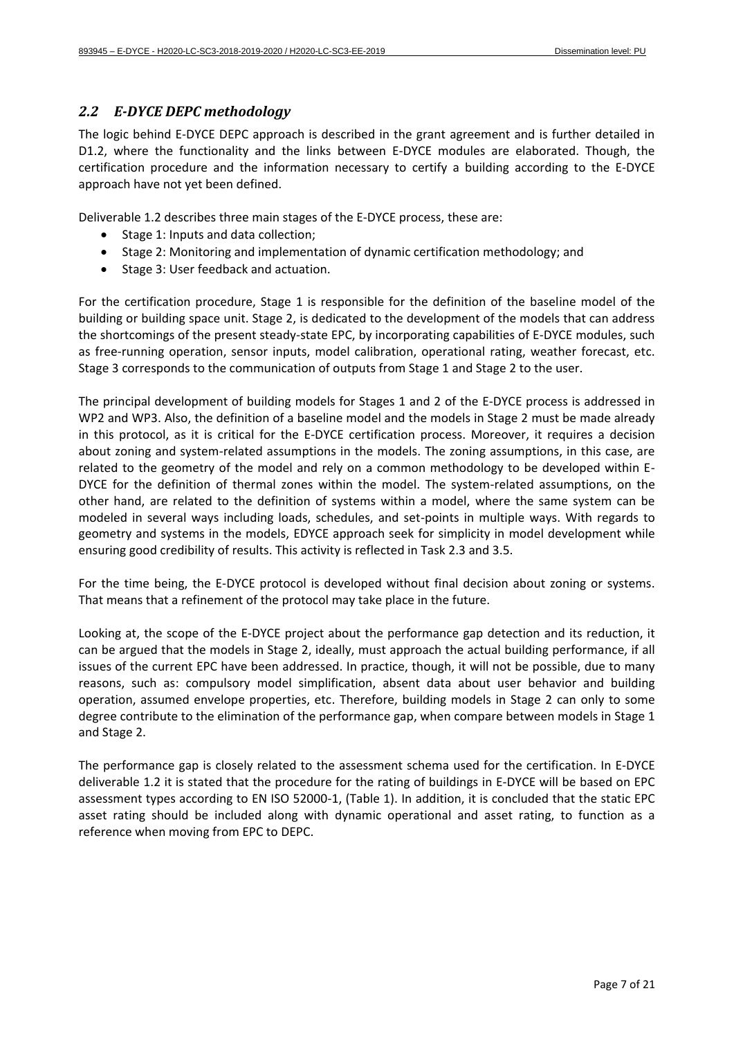### *2.2 E-DYCE DEPC methodology*

The logic behind E-DYCE DEPC approach is described in the grant agreement and is further detailed in D1.2, where the functionality and the links between E-DYCE modules are elaborated. Though, the certification procedure and the information necessary to certify a building according to the E-DYCE approach have not yet been defined.

Deliverable 1.2 describes three main stages of the E-DYCE process, these are:

- Stage 1: Inputs and data collection;
- Stage 2: Monitoring and implementation of dynamic certification methodology; and
- Stage 3: User feedback and actuation.

For the certification procedure, Stage 1 is responsible for the definition of the baseline model of the building or building space unit. Stage 2, is dedicated to the development of the models that can address the shortcomings of the present steady-state EPC, by incorporating capabilities of E-DYCE modules, such as free-running operation, sensor inputs, model calibration, operational rating, weather forecast, etc. Stage 3 corresponds to the communication of outputs from Stage 1 and Stage 2 to the user.

The principal development of building models for Stages 1 and 2 of the E-DYCE process is addressed in WP2 and WP3. Also, the definition of a baseline model and the models in Stage 2 must be made already in this protocol, as it is critical for the E-DYCE certification process. Moreover, it requires a decision about zoning and system-related assumptions in the models. The zoning assumptions, in this case, are related to the geometry of the model and rely on a common methodology to be developed within E-DYCE for the definition of thermal zones within the model. The system-related assumptions, on the other hand, are related to the definition of systems within a model, where the same system can be modeled in several ways including loads, schedules, and set-points in multiple ways. With regards to geometry and systems in the models, EDYCE approach seek for simplicity in model development while ensuring good credibility of results. This activity is reflected in Task 2.3 and 3.5.

For the time being, the E-DYCE protocol is developed without final decision about zoning or systems. That means that a refinement of the protocol may take place in the future.

Looking at, the scope of the E-DYCE project about the performance gap detection and its reduction, it can be argued that the models in Stage 2, ideally, must approach the actual building performance, if all issues of the current EPC have been addressed. In practice, though, it will not be possible, due to many reasons, such as: compulsory model simplification, absent data about user behavior and building operation, assumed envelope properties, etc. Therefore, building models in Stage 2 can only to some degree contribute to the elimination of the performance gap, when compare between models in Stage 1 and Stage 2.

<span id="page-6-0"></span>The performance gap is closely related to the assessment schema used for the certification. In E-DYCE deliverable 1.2 it is stated that the procedure for the rating of buildings in E-DYCE will be based on EPC assessment types according to EN ISO 52000-1, [\(Table 1\)](#page-7-1). In addition, it is concluded that the static EPC asset rating should be included along with dynamic operational and asset rating, to function as a reference when moving from EPC to DEPC.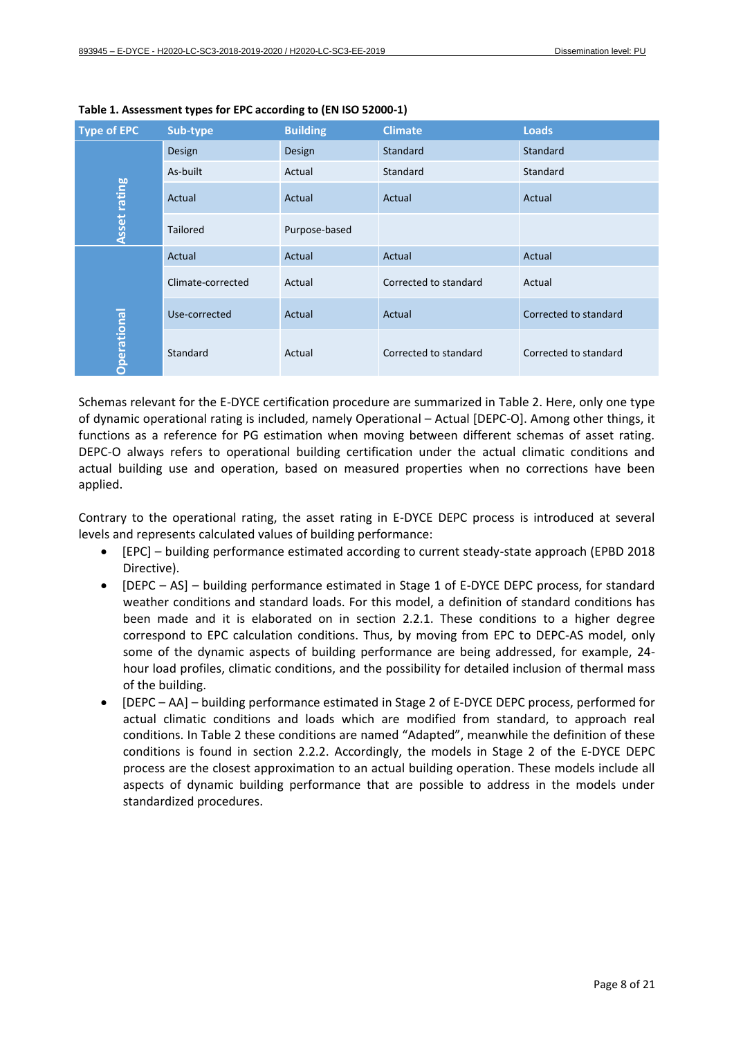| <b>Type of EPC</b>  | Sub-type                         | <b>Building</b> | <b>Climate</b>        | <b>Loads</b>          |
|---------------------|----------------------------------|-----------------|-----------------------|-----------------------|
|                     | Design                           | Design          | Standard              | Standard              |
|                     | As-built                         | Actual          | Standard              | Standard              |
| <b>Asset rating</b> | Actual                           | Actual          | Actual                | Actual                |
|                     | <b>Tailored</b><br>Purpose-based |                 |                       |                       |
| <b>Operational</b>  | Actual                           | Actual          | Actual                | Actual                |
|                     | Climate-corrected                | Actual          | Corrected to standard | Actual                |
|                     | Use-corrected                    | Actual          | Actual                | Corrected to standard |
|                     | Standard                         | Actual          | Corrected to standard | Corrected to standard |

<span id="page-7-1"></span>**Table 1. Assessment types for EPC according to (EN ISO 52000-1)**

Schemas relevant for the E-DYCE certification procedure are summarized in Table 2. Here, only one type of dynamic operational rating is included, namely Operational – Actual [DEPC-O]. Among other things, it functions as a reference for PG estimation when moving between different schemas of asset rating. DEPC-O always refers to operational building certification under the actual climatic conditions and actual building use and operation, based on measured properties when no corrections have been applied.

Contrary to the operational rating, the asset rating in E-DYCE DEPC process is introduced at several levels and represents calculated values of building performance:

- [EPC] building performance estimated according to current steady-state approach (EPBD 2018 Directive).
- [DEPC AS] building performance estimated in Stage 1 of E-DYCE DEPC process, for standard weather conditions and standard loads. For this model, a definition of standard conditions has been made and it is elaborated on in section [2.2.1.](#page-8-0) These conditions to a higher degree correspond to EPC calculation conditions. Thus, by moving from EPC to DEPC-AS model, only some of the dynamic aspects of building performance are being addressed, for example, 24 hour load profiles, climatic conditions, and the possibility for detailed inclusion of thermal mass of the building.
- <span id="page-7-0"></span>• [DEPC – AA] – building performance estimated in Stage 2 of E-DYCE DEPC process, performed for actual climatic conditions and loads which are modified from standard, to approach real conditions. In Table 2 these conditions are named "Adapted", meanwhile the definition of these conditions is found in section [2.2.2.](#page-8-1) Accordingly, the models in Stage 2 of the E-DYCE DEPC process are the closest approximation to an actual building operation. These models include all aspects of dynamic building performance that are possible to address in the models under standardized procedures.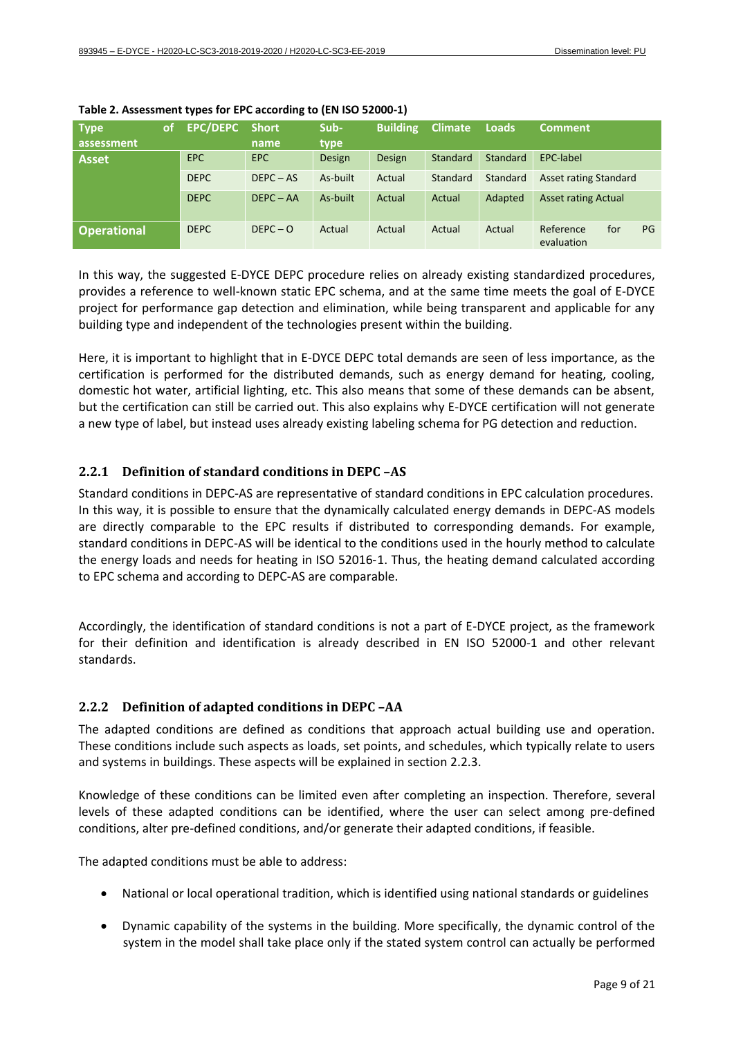| <b>Type</b>        | of. | <b>EPC/DEPC</b> | <b>Short</b> | Sub-     | <b>Building</b> | <b>Climate</b> | Loads    | <b>Comment</b>                       |
|--------------------|-----|-----------------|--------------|----------|-----------------|----------------|----------|--------------------------------------|
| assessment         |     |                 | name         | type     |                 |                |          |                                      |
| <b>Asset</b>       |     | <b>EPC</b>      | <b>EPC</b>   | Design   | Design          | Standard       | Standard | EPC-label                            |
|                    |     | <b>DEPC</b>     | $DEPC - AS$  | As-built | Actual          | Standard       | Standard | <b>Asset rating Standard</b>         |
|                    |     | <b>DEPC</b>     | $DEPC - AA$  | As-built | Actual          | Actual         | Adapted  | <b>Asset rating Actual</b>           |
| <b>Operational</b> |     | <b>DEPC</b>     | $DEPC - O$   | Actual   | Actual          | Actual         | Actual   | Reference<br>for<br>PG<br>evaluation |

**Table 2. Assessment types for EPC according to (EN ISO 52000-1)**

In this way, the suggested E-DYCE DEPC procedure relies on already existing standardized procedures, provides a reference to well-known static EPC schema, and at the same time meets the goal of E-DYCE project for performance gap detection and elimination, while being transparent and applicable for any building type and independent of the technologies present within the building.

Here, it is important to highlight that in E-DYCE DEPC total demands are seen of less importance, as the certification is performed for the distributed demands, such as energy demand for heating, cooling, domestic hot water, artificial lighting, etc. This also means that some of these demands can be absent, but the certification can still be carried out. This also explains why E-DYCE certification will not generate a new type of label, but instead uses already existing labeling schema for PG detection and reduction.

### <span id="page-8-0"></span>**2.2.1 Definition of standard conditions in DEPC –AS**

Standard conditions in DEPC-AS are representative of standard conditions in EPC calculation procedures. In this way, it is possible to ensure that the dynamically calculated energy demands in DEPC-AS models are directly comparable to the EPC results if distributed to corresponding demands. For example, standard conditions in DEPC-AS will be identical to the conditions used in the hourly method to calculate the energy loads and needs for heating in ISO 52016-1. Thus, the heating demand calculated according to EPC schema and according to DEPC-AS are comparable.

Accordingly, the identification of standard conditions is not a part of E-DYCE project, as the framework for their definition and identification is already described in EN ISO 52000-1 and other relevant standards.

#### <span id="page-8-1"></span>**2.2.2 Definition of adapted conditions in DEPC –AA**

The adapted conditions are defined as conditions that approach actual building use and operation. These conditions include such aspects as loads, set points, and schedules, which typically relate to users and systems in buildings. These aspects will be explained in section [2.2.3.](#page-9-0)

Knowledge of these conditions can be limited even after completing an inspection. Therefore, several levels of these adapted conditions can be identified, where the user can select among pre-defined conditions, alter pre-defined conditions, and/or generate their adapted conditions, if feasible.

The adapted conditions must be able to address:

- National or local operational tradition, which is identified using national standards or guidelines
- Dynamic capability of the systems in the building. More specifically, the dynamic control of the system in the model shall take place only if the stated system control can actually be performed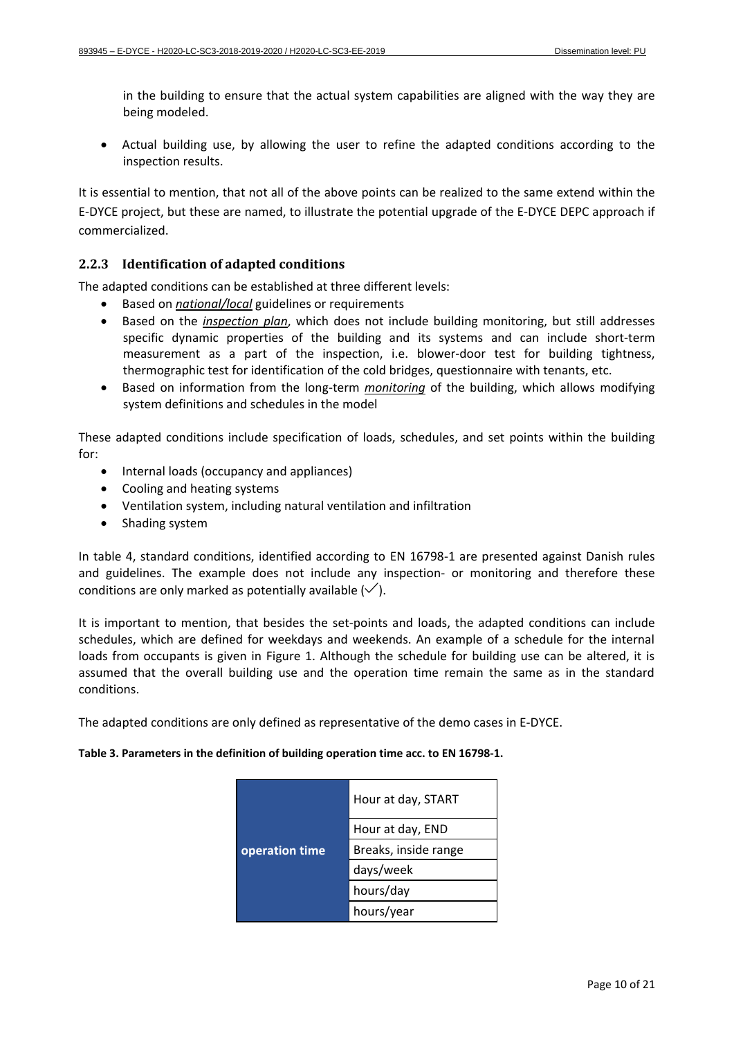in the building to ensure that the actual system capabilities are aligned with the way they are being modeled.

• Actual building use, by allowing the user to refine the adapted conditions according to the inspection results.

It is essential to mention, that not all of the above points can be realized to the same extend within the E-DYCE project, but these are named, to illustrate the potential upgrade of the E-DYCE DEPC approach if commercialized.

### <span id="page-9-0"></span>**2.2.3 Identification of adapted conditions**

The adapted conditions can be established at three different levels:

- Based on *national/local* guidelines or requirements
- Based on the *inspection plan*, which does not include building monitoring, but still addresses specific dynamic properties of the building and its systems and can include short-term measurement as a part of the inspection, i.e. blower-door test for building tightness, thermographic test for identification of the cold bridges, questionnaire with tenants, etc.
- Based on information from the long-term *monitoring* of the building, which allows modifying system definitions and schedules in the model

These adapted conditions include specification of loads, schedules, and set points within the building for:

- Internal loads (occupancy and appliances)
- Cooling and heating systems
- Ventilation system, including natural ventilation and infiltration
- Shading system

In table 4, standard conditions, identified according to EN 16798-1 are presented against Danish rules and guidelines. The example does not include any inspection- or monitoring and therefore these conditions are only marked as potentially available  $(\checkmark)$ .

It is important to mention, that besides the set-points and loads, the adapted conditions can include schedules, which are defined for weekdays and weekends. An example of a schedule for the internal loads from occupants is given in [Figure 1.](#page-10-1) Although the schedule for building use can be altered, it is assumed that the overall building use and the operation time remain the same as in the standard conditions.

<span id="page-9-1"></span>The adapted conditions are only defined as representative of the demo cases in E-DYCE.

#### **Table 3. Parameters in the definition of building operation time acc. to EN 16798-1.**

|                | Hour at day, START   |  |
|----------------|----------------------|--|
|                | Hour at day, END     |  |
| operation time | Breaks, inside range |  |
|                | days/week            |  |
|                | hours/day            |  |
|                | hours/year           |  |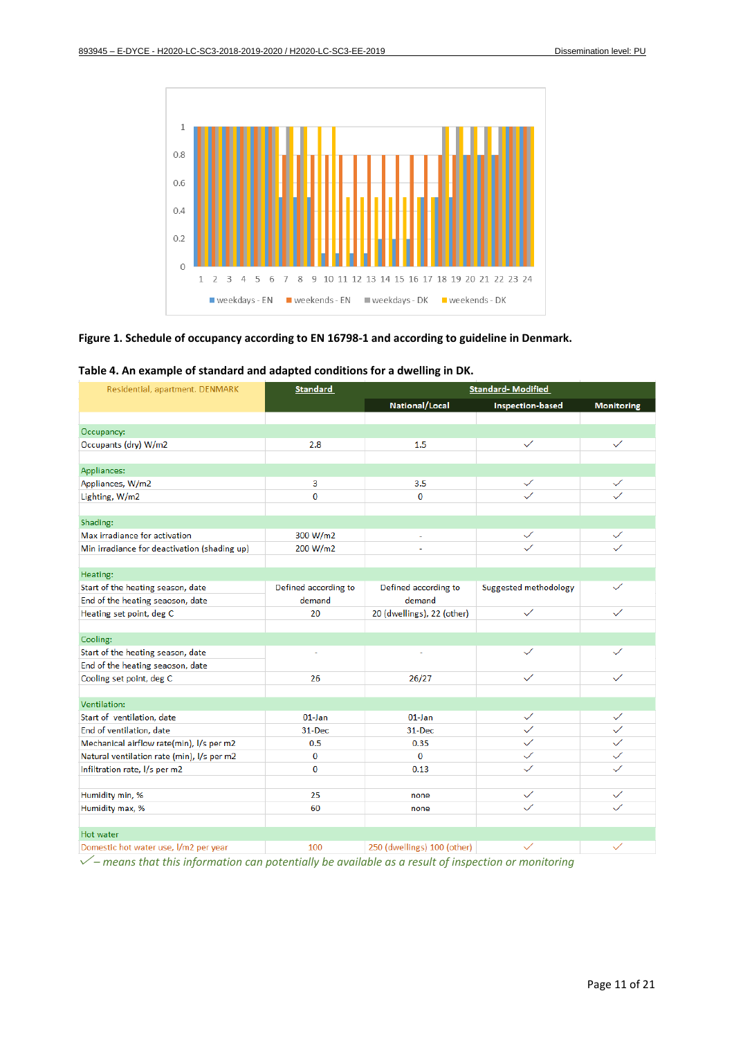

#### <span id="page-10-1"></span>**Figure 1. Schedule of occupancy according to EN 16798-1 and according to guideline in Denmark.**

| Residential, apartment. DENMARK              | <b>Standard</b>      |                             | <b>Standard-Modified</b>     |                   |
|----------------------------------------------|----------------------|-----------------------------|------------------------------|-------------------|
|                                              |                      | National/Local              | <b>Inspection-based</b>      | <b>Monitoring</b> |
|                                              |                      |                             |                              |                   |
| Occupancy:                                   |                      |                             |                              |                   |
| Occupants (dry) W/m2                         | 2.8                  | 1.5                         | $\checkmark$                 | $\checkmark$      |
|                                              |                      |                             |                              |                   |
| Appliances:                                  |                      |                             |                              |                   |
| Appliances, W/m2                             | 3                    | 3.5                         | $\checkmark$                 | $\checkmark$      |
| Lighting, W/m2                               | $\bf{0}$<br>0        |                             | ✓                            | $\checkmark$      |
|                                              |                      |                             |                              |                   |
| Shading:                                     |                      |                             |                              |                   |
| Max irradiance for activation                | 300 W/m2             | $\overline{\phantom{a}}$    | ✓                            | $\checkmark$      |
| Min irradiance for deactivation (shading up) | 200 W/m2             |                             | ✓                            |                   |
|                                              |                      |                             |                              |                   |
| Heating:                                     |                      |                             |                              |                   |
| Start of the heating season, date            | Defined according to | Defined according to        | <b>Suggested methodology</b> | $\checkmark$      |
| End of the heating seaoson, date             | demand               | demand                      |                              |                   |
| Heating set point, deg C                     | 20                   | 20 (dwellings), 22 (other)  | $\checkmark$                 | $\checkmark$      |
|                                              |                      |                             |                              |                   |
| Cooling:                                     |                      |                             |                              |                   |
| Start of the heating season, date            |                      |                             | $\checkmark$                 | $\checkmark$      |
| End of the heating seaoson, date             |                      |                             |                              |                   |
| Cooling set point, deg C                     | 26                   | 26/27                       | $\checkmark$                 | $\checkmark$      |
|                                              |                      |                             |                              |                   |
| Ventilation:                                 |                      |                             |                              |                   |
| Start of ventilation, date                   | $01$ -Jan            | $01$ -Jan                   | $\checkmark$                 | $\checkmark$      |
| End of ventilation, date                     | 31-Dec               | 31-Dec                      | $\checkmark$                 | $\checkmark$      |
| Mechanical airflow rate(min), I/s per m2     | 0.5                  | 0.35                        | $\checkmark$                 | $\checkmark$      |
| Natural ventilation rate (min), I/s per m2   | $\bf{0}$             | $\mathbf 0$                 | $\checkmark$                 |                   |
| Infiltration rate, I/s per m2                | $\bf{0}$             | 0.13                        | $\checkmark$                 | $\checkmark$      |
|                                              |                      |                             |                              |                   |
| Humidity min, %                              | 25                   | none                        | $\checkmark$                 | $\checkmark$      |
| Humidity max, %                              | 60                   | none                        | $\checkmark$                 | $\checkmark$      |
|                                              |                      |                             |                              |                   |
| <b>Hot water</b>                             |                      |                             |                              |                   |
| Domestic hot water use, I/m2 per year        | 100                  | 250 (dwellings) 100 (other) | ✓                            | $\checkmark$      |

<span id="page-10-2"></span>**Table 4. An example of standard and adapted conditions for a dwelling in DK.** 

<span id="page-10-0"></span>*– means that this information can potentially be available as a result of inspection or monitoring*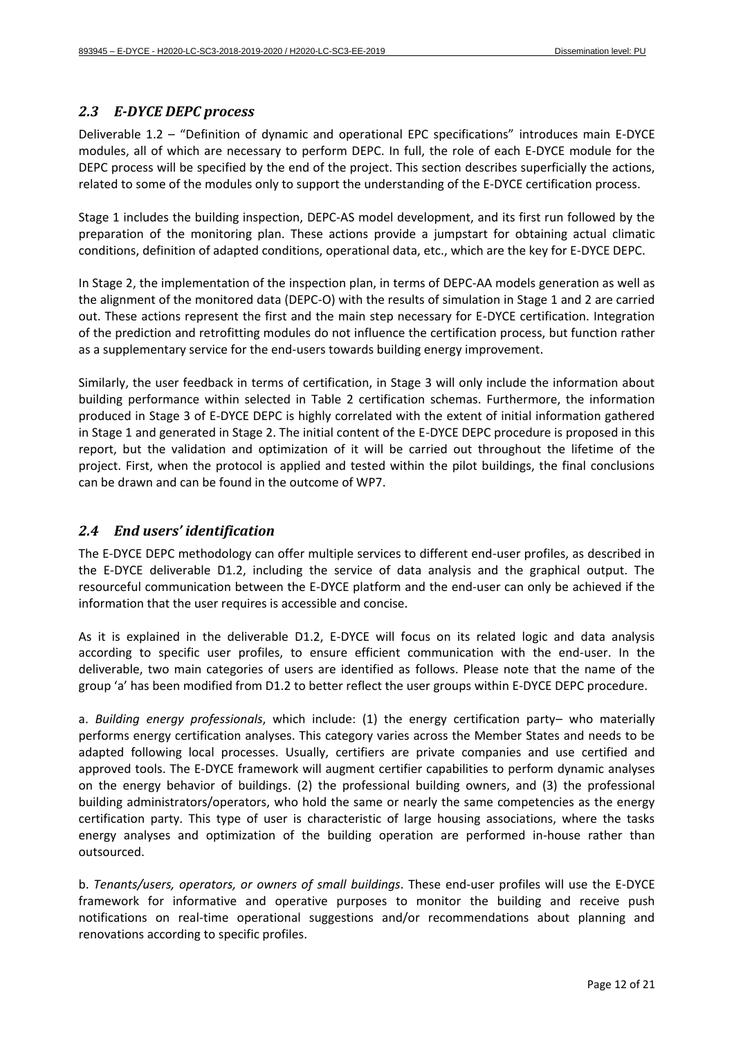#### *2.3 E-DYCE DEPC process*

Deliverable 1.2 – "Definition of dynamic and operational EPC specifications" introduces main E-DYCE modules, all of which are necessary to perform DEPC. In full, the role of each E-DYCE module for the DEPC process will be specified by the end of the project. This section describes superficially the actions, related to some of the modules only to support the understanding of the E-DYCE certification process.

Stage 1 includes the building inspection, DEPC-AS model development, and its first run followed by the preparation of the monitoring plan. These actions provide a jumpstart for obtaining actual climatic conditions, definition of adapted conditions, operational data, etc., which are the key for E-DYCE DEPC.

In Stage 2, the implementation of the inspection plan, in terms of DEPC-AA models generation as well as the alignment of the monitored data (DEPC-O) with the results of simulation in Stage 1 and 2 are carried out. These actions represent the first and the main step necessary for E-DYCE certification. Integration of the prediction and retrofitting modules do not influence the certification process, but function rather as a supplementary service for the end-users towards building energy improvement.

Similarly, the user feedback in terms of certification, in Stage 3 will only include the information about building performance within selected in Table 2 certification schemas. Furthermore, the information produced in Stage 3 of E-DYCE DEPC is highly correlated with the extent of initial information gathered in Stage 1 and generated in Stage 2. The initial content of the E-DYCE DEPC procedure is proposed in this report, but the validation and optimization of it will be carried out throughout the lifetime of the project. First, when the protocol is applied and tested within the pilot buildings, the final conclusions can be drawn and can be found in the outcome of WP7.

### <span id="page-11-0"></span>*2.4 End users' identification*

The E-DYCE DEPC methodology can offer multiple services to different end-user profiles, as described in the E-DYCE deliverable D1.2, including the service of data analysis and the graphical output. The resourceful communication between the E-DYCE platform and the end-user can only be achieved if the information that the user requires is accessible and concise.

As it is explained in the deliverable D1.2, E-DYCE will focus on its related logic and data analysis according to specific user profiles, to ensure efficient communication with the end-user. In the deliverable, two main categories of users are identified as follows. Please note that the name of the group 'a' has been modified from D1.2 to better reflect the user groups within E-DYCE DEPC procedure.

a. *Building energy professionals*, which include: (1) the energy certification party– who materially performs energy certification analyses. This category varies across the Member States and needs to be adapted following local processes. Usually, certifiers are private companies and use certified and approved tools. The E-DYCE framework will augment certifier capabilities to perform dynamic analyses on the energy behavior of buildings. (2) the professional building owners, and (3) the professional building administrators/operators, who hold the same or nearly the same competencies as the energy certification party. This type of user is characteristic of large housing associations, where the tasks energy analyses and optimization of the building operation are performed in-house rather than outsourced.

b. *Tenants/users, operators, or owners of small buildings*. These end-user profiles will use the E-DYCE framework for informative and operative purposes to monitor the building and receive push notifications on real-time operational suggestions and/or recommendations about planning and renovations according to specific profiles.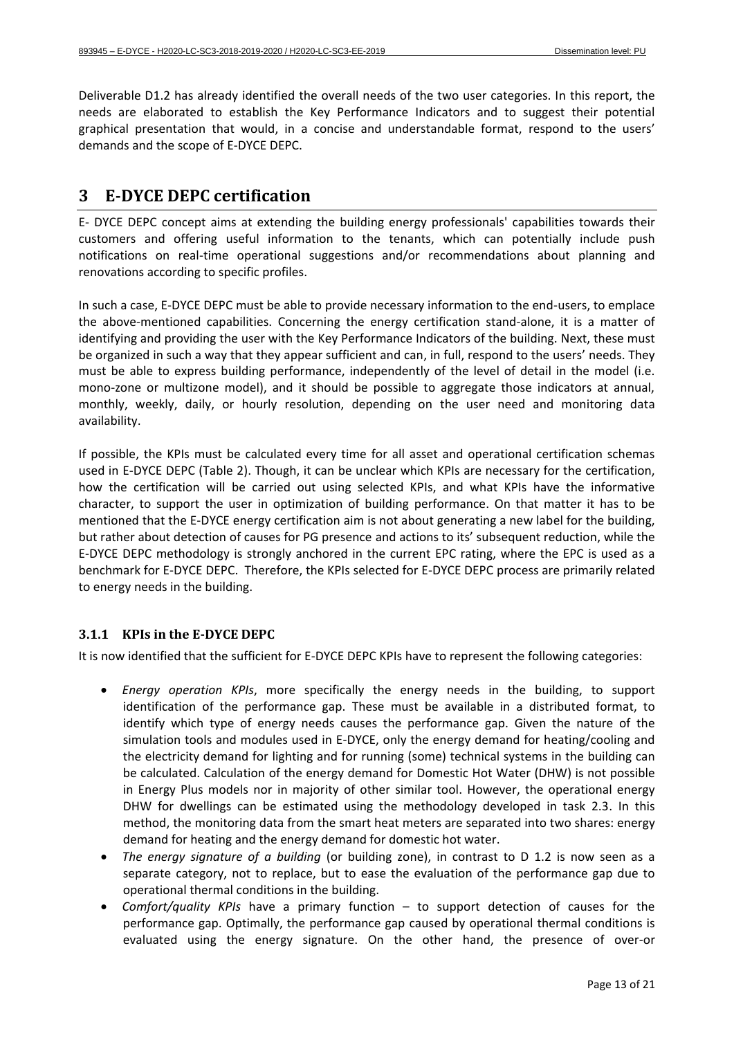Deliverable D1.2 has already identified the overall needs of the two user categories. In this report, the needs are elaborated to establish the Key Performance Indicators and to suggest their potential graphical presentation that would, in a concise and understandable format, respond to the users' demands and the scope of E-DYCE DEPC.

## <span id="page-12-0"></span>**3 E-DYCE DEPC certification**

E- DYCE DEPC concept aims at extending the building energy professionals' capabilities towards their customers and offering useful information to the tenants, which can potentially include push notifications on real-time operational suggestions and/or recommendations about planning and renovations according to specific profiles.

In such a case, E-DYCE DEPC must be able to provide necessary information to the end-users, to emplace the above-mentioned capabilities. Concerning the energy certification stand-alone, it is a matter of identifying and providing the user with the Key Performance Indicators of the building. Next, these must be organized in such a way that they appear sufficient and can, in full, respond to the users' needs. They must be able to express building performance, independently of the level of detail in the model (i.e. mono-zone or multizone model), and it should be possible to aggregate those indicators at annual, monthly, weekly, daily, or hourly resolution, depending on the user need and monitoring data availability.

If possible, the KPIs must be calculated every time for all asset and operational certification schemas used in E-DYCE DEPC (Table 2). Though, it can be unclear which KPIs are necessary for the certification, how the certification will be carried out using selected KPIs, and what KPIs have the informative character, to support the user in optimization of building performance. On that matter it has to be mentioned that the E-DYCE energy certification aim is not about generating a new label for the building, but rather about detection of causes for PG presence and actions to its' subsequent reduction, while the E-DYCE DEPC methodology is strongly anchored in the current EPC rating, where the EPC is used as a benchmark for E-DYCE DEPC. Therefore, the KPIs selected for E-DYCE DEPC process are primarily related to energy needs in the building.

### <span id="page-12-1"></span>**3.1.1 KPIs in the E-DYCE DEPC**

It is now identified that the sufficient for E-DYCE DEPC KPIs have to represent the following categories:

- *Energy operation KPIs*, more specifically the energy needs in the building, to support identification of the performance gap. These must be available in a distributed format, to identify which type of energy needs causes the performance gap. Given the nature of the simulation tools and modules used in E-DYCE, only the energy demand for heating/cooling and the electricity demand for lighting and for running (some) technical systems in the building can be calculated. Calculation of the energy demand for Domestic Hot Water (DHW) is not possible in Energy Plus models nor in majority of other similar tool. However, the operational energy DHW for dwellings can be estimated using the methodology developed in task 2.3. In this method, the monitoring data from the smart heat meters are separated into two shares: energy demand for heating and the energy demand for domestic hot water.
- *The energy signature of a building* (or building zone), in contrast to D 1.2 is now seen as a separate category, not to replace, but to ease the evaluation of the performance gap due to operational thermal conditions in the building.
- *Comfort/quality KPIs* have a primary function to support detection of causes for the performance gap. Optimally, the performance gap caused by operational thermal conditions is evaluated using the energy signature. On the other hand, the presence of over-or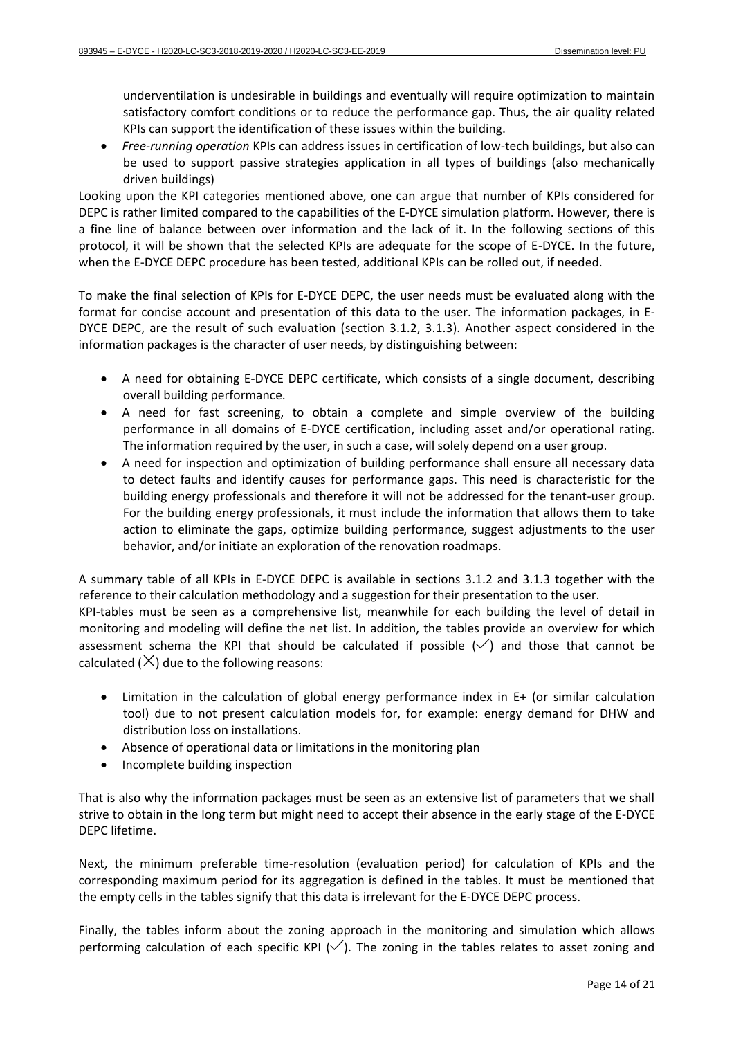underventilation is undesirable in buildings and eventually will require optimization to maintain satisfactory comfort conditions or to reduce the performance gap. Thus, the air quality related KPIs can support the identification of these issues within the building.

• *Free-running operation* KPIs can address issues in certification of low-tech buildings, but also can be used to support passive strategies application in all types of buildings (also mechanically driven buildings)

Looking upon the KPI categories mentioned above, one can argue that number of KPIs considered for DEPC is rather limited compared to the capabilities of the E-DYCE simulation platform. However, there is a fine line of balance between over information and the lack of it. In the following sections of this protocol, it will be shown that the selected KPIs are adequate for the scope of E-DYCE. In the future, when the E-DYCE DEPC procedure has been tested, additional KPIs can be rolled out, if needed.

To make the final selection of KPIs for E-DYCE DEPC, the user needs must be evaluated along with the format for concise account and presentation of this data to the user. The information packages, in E-DYCE DEPC, are the result of such evaluation (section [3.1.2,](#page-14-0) [3.1.3\)](#page-16-0). Another aspect considered in the information packages is the character of user needs, by distinguishing between:

- A need for obtaining E-DYCE DEPC certificate, which consists of a single document, describing overall building performance.
- A need for fast screening, to obtain a complete and simple overview of the building performance in all domains of E-DYCE certification, including asset and/or operational rating. The information required by the user, in such a case, will solely depend on a user group.
- A need for inspection and optimization of building performance shall ensure all necessary data to detect faults and identify causes for performance gaps. This need is characteristic for the building energy professionals and therefore it will not be addressed for the tenant-user group. For the building energy professionals, it must include the information that allows them to take action to eliminate the gaps, optimize building performance, suggest adjustments to the user behavior, and/or initiate an exploration of the renovation roadmaps.

A summary table of all KPIs in E-DYCE DEPC is available in sections [3.1.2](#page-14-0) and [3.1.3](#page-16-0) together with the reference to their calculation methodology and a suggestion for their presentation to the user. KPI-tables must be seen as a comprehensive list, meanwhile for each building the level of detail in monitoring and modeling will define the net list. In addition, the tables provide an overview for which assessment schema the KPI that should be calculated if possible  $(\checkmark)$  and those that cannot be calculated  $(X)$  due to the following reasons:

- Limitation in the calculation of global energy performance index in E+ (or similar calculation tool) due to not present calculation models for, for example: energy demand for DHW and distribution loss on installations.
- Absence of operational data or limitations in the monitoring plan
- Incomplete building inspection

That is also why the information packages must be seen as an extensive list of parameters that we shall strive to obtain in the long term but might need to accept their absence in the early stage of the E-DYCE DEPC lifetime.

Next, the minimum preferable time-resolution (evaluation period) for calculation of KPIs and the corresponding maximum period for its aggregation is defined in the tables. It must be mentioned that the empty cells in the tables signify that this data is irrelevant for the E-DYCE DEPC process.

Finally, the tables inform about the zoning approach in the monitoring and simulation which allows performing calculation of each specific KPI  $(\vee)$ . The zoning in the tables relates to asset zoning and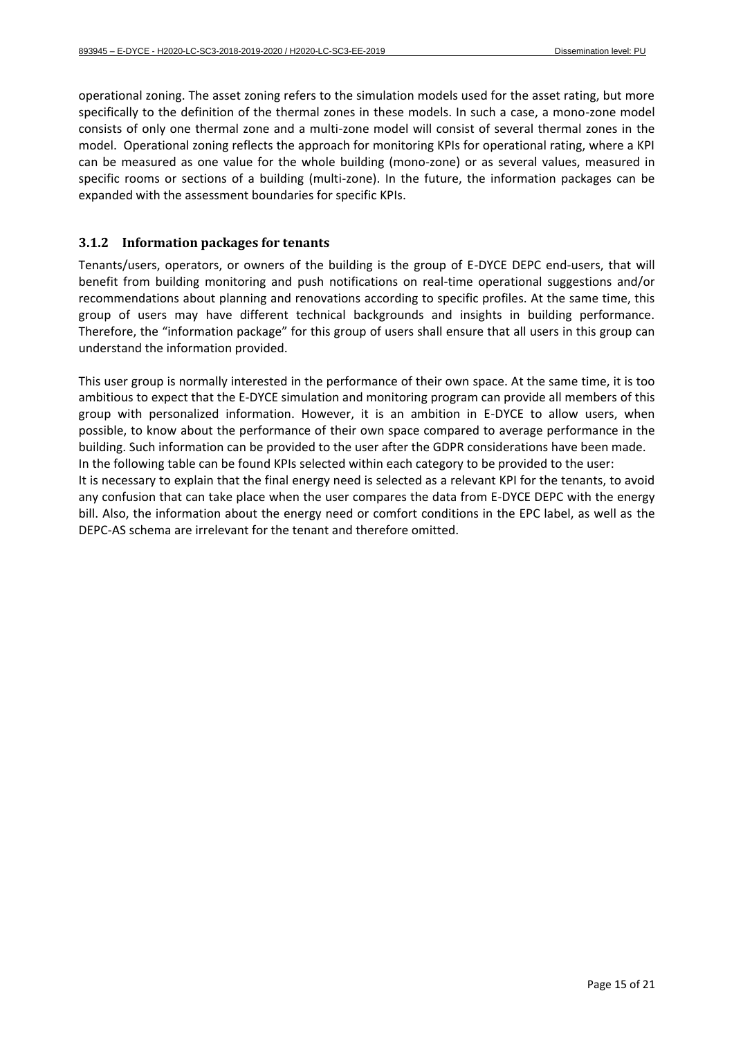operational zoning. The asset zoning refers to the simulation models used for the asset rating, but more specifically to the definition of the thermal zones in these models. In such a case, a mono-zone model consists of only one thermal zone and a multi-zone model will consist of several thermal zones in the model. Operational zoning reflects the approach for monitoring KPIs for operational rating, where a KPI can be measured as one value for the whole building (mono-zone) or as several values, measured in specific rooms or sections of a building (multi-zone). In the future, the information packages can be expanded with the assessment boundaries for specific KPIs.

#### <span id="page-14-0"></span>**3.1.2 Information packages for tenants**

Tenants/users, operators, or owners of the building is the group of E-DYCE DEPC end-users, that will benefit from building monitoring and push notifications on real-time operational suggestions and/or recommendations about planning and renovations according to specific profiles. At the same time, this group of users may have different technical backgrounds and insights in building performance. Therefore, the "information package" for this group of users shall ensure that all users in this group can understand the information provided.

This user group is normally interested in the performance of their own space. At the same time, it is too ambitious to expect that the E-DYCE simulation and monitoring program can provide all members of this group with personalized information. However, it is an ambition in E-DYCE to allow users, when possible, to know about the performance of their own space compared to average performance in the building. Such information can be provided to the user after the GDPR considerations have been made. In the following table can be found KPIs selected within each category to be provided to the user: It is necessary to explain that the final energy need is selected as a relevant KPI for the tenants, to avoid any confusion that can take place when the user compares the data from E-DYCE DEPC with the energy bill. Also, the information about the energy need or comfort conditions in the EPC label, as well as the DEPC-AS schema are irrelevant for the tenant and therefore omitted.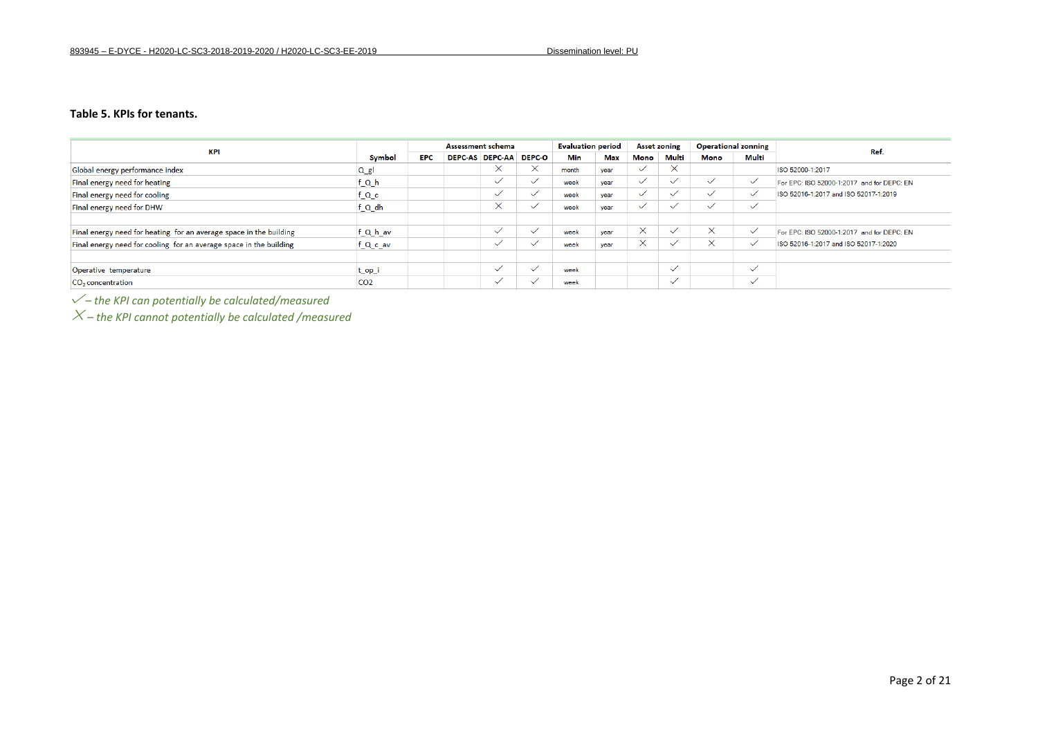#### **Table 5. KPIs for tenants.**

| <b>KPI</b>                                                         |                 |            | Assessment schema      | <b>Evaluation period</b> |       | <b>Asset zoning</b> |              | <b>Operational zonning</b> |              |              |                                            |
|--------------------------------------------------------------------|-----------------|------------|------------------------|--------------------------|-------|---------------------|--------------|----------------------------|--------------|--------------|--------------------------------------------|
|                                                                    | <b>Symbol</b>   | <b>EPC</b> | <b>DEPC-AS DEPC-AA</b> | <b>DEPC-O</b>            | Min   | Max                 | Mono         | Multi                      | Mono         | Multi        | Ref.                                       |
| Global energy performance index                                    | $Q_{gl}$        |            | X                      | $\times$                 | month | year                | $\checkmark$ | $\times$                   |              |              | ISO 52000-1:2017                           |
| Final energy need for heating                                      | f_Q_h           |            | $\checkmark$           | $\checkmark$             | week  | year                | $\checkmark$ | $\checkmark$               | $\checkmark$ | $\checkmark$ | For EPC: ISO 52000-1:2017 and for DEPC: EN |
| Final energy need for cooling                                      | f_Q_c           |            | $\checkmark$           |                          | week  | year                |              | $\checkmark$               | $\checkmark$ |              | ISO 52016-1:2017 and ISO 52017-1:2019      |
| Final energy need for DHW                                          | f_Q_dh          |            | $\times$               | $\checkmark$             | week  | year                | $\checkmark$ | $\checkmark$               | $\checkmark$ | ✓            |                                            |
| Final energy need for heating for an average space in the building | f_Q_h_av        |            | $\checkmark$           | $\checkmark$             | week  | vear                | $\times$     | $\checkmark$               | $\times$     | $\checkmark$ | For EPC: ISO 52000-1:2017 and for DEPC: EN |
| Final energy need for cooling for an average space in the building | f_Q_c_av        |            | $\checkmark$           |                          | week  | vear                | $\times$     | $\checkmark$               | $\times$     | $\checkmark$ | ISO 52016-1:2017 and ISO 52017-1:2020      |
|                                                                    |                 |            |                        |                          |       |                     |              |                            |              |              |                                            |
| Operative temperature                                              | t_op_i          |            | $\checkmark$           | $\checkmark$             | week  |                     |              | $\checkmark$               |              | $\checkmark$ |                                            |
| CO <sub>2</sub> concentration                                      | CO <sub>2</sub> |            | $\checkmark$           | $\sim$                   | week  |                     |              | $\checkmark$               |              | $\checkmark$ |                                            |

*– the KPI can potentially be calculated/measured*

<span id="page-15-0"></span>*– the KPI cannot potentially be calculated /measured*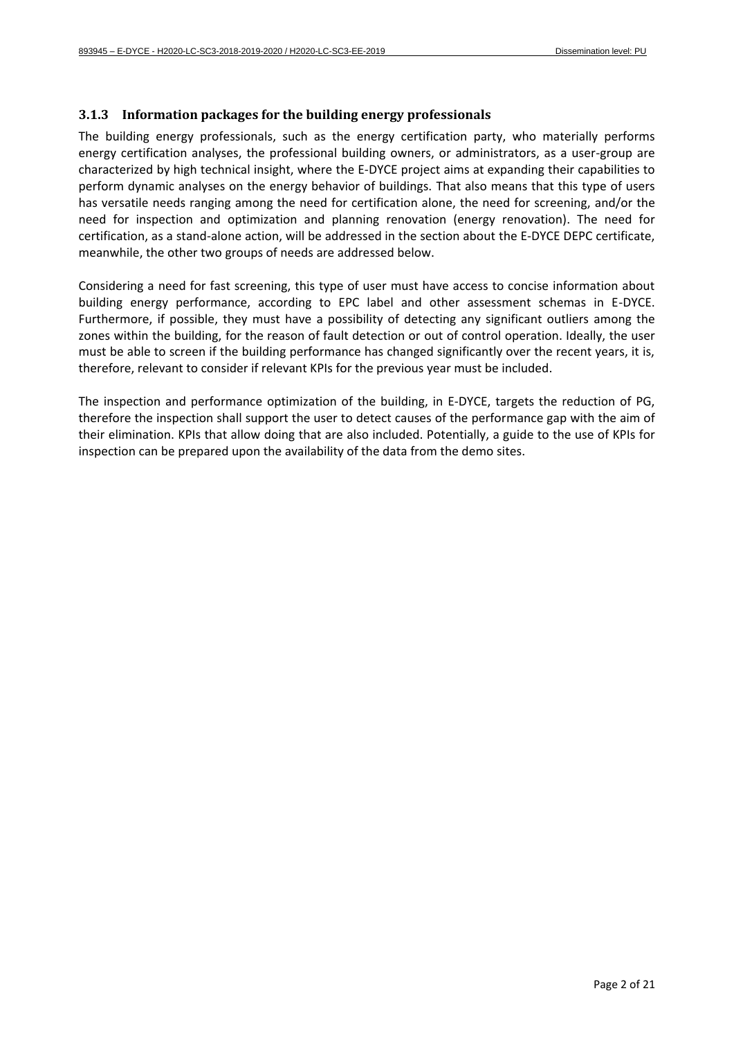#### <span id="page-16-0"></span>**3.1.3 Information packages for the building energy professionals**

The building energy professionals, such as the energy certification party, who materially performs energy certification analyses, the professional building owners, or administrators, as a user-group are characterized by high technical insight, where the E-DYCE project aims at expanding their capabilities to perform dynamic analyses on the energy behavior of buildings. That also means that this type of users has versatile needs ranging among the need for certification alone, the need for screening, and/or the need for inspection and optimization and planning renovation (energy renovation). The need for certification, as a stand-alone action, will be addressed in the section about the E-DYCE DEPC certificate, meanwhile, the other two groups of needs are addressed below.

Considering a need for fast screening, this type of user must have access to concise information about building energy performance, according to EPC label and other assessment schemas in E-DYCE. Furthermore, if possible, they must have a possibility of detecting any significant outliers among the zones within the building, for the reason of fault detection or out of control operation. Ideally, the user must be able to screen if the building performance has changed significantly over the recent years, it is, therefore, relevant to consider if relevant KPIs for the previous year must be included.

The inspection and performance optimization of the building, in E-DYCE, targets the reduction of PG, therefore the inspection shall support the user to detect causes of the performance gap with the aim of their elimination. KPIs that allow doing that are also included. Potentially, a guide to the use of KPIs for inspection can be prepared upon the availability of the data from the demo sites.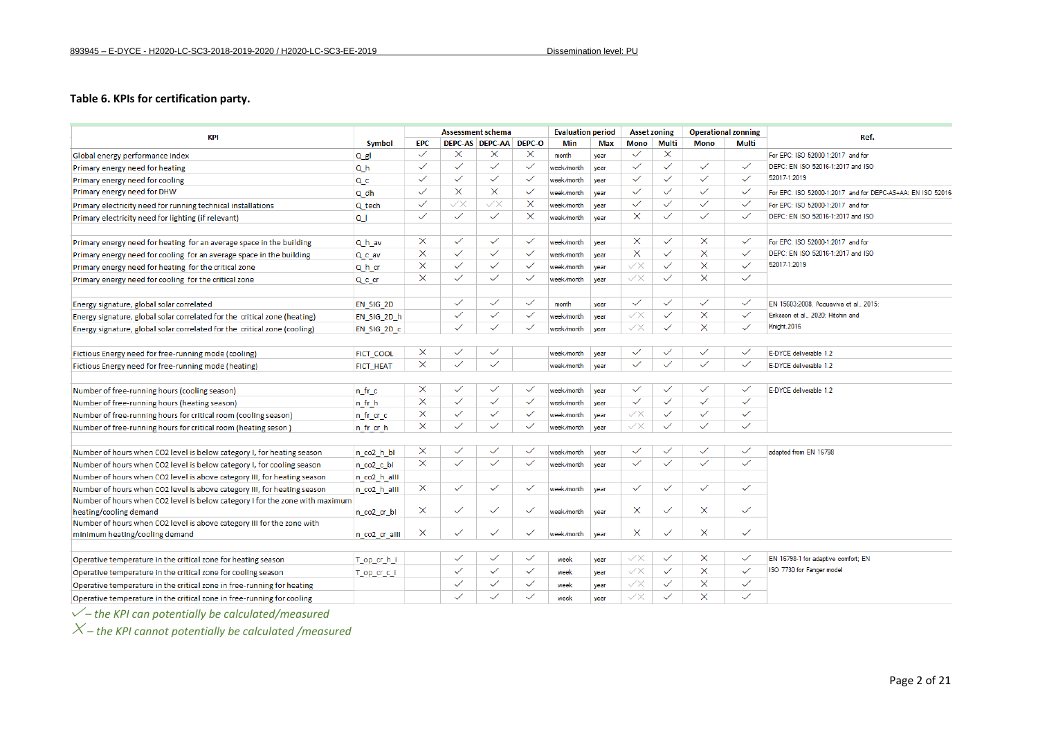#### **Table 6. KPIs for certification party.**

| <b>KPI</b>                                                                   | <b>Symbol</b>    |              |                          | <b>Assessment schema</b> |              | <b>Evaluation period</b> |            | <b>Asset zoning</b>      |              | <b>Operational zonning</b> |              | Ref.                                                                                   |
|------------------------------------------------------------------------------|------------------|--------------|--------------------------|--------------------------|--------------|--------------------------|------------|--------------------------|--------------|----------------------------|--------------|----------------------------------------------------------------------------------------|
|                                                                              |                  | <b>EPC</b>   |                          | DEPC-AS DEPC-AA DEPC-O   |              | Min                      | <b>Max</b> | <b>Mono</b>              | Multi        | <b>Mono</b>                | Multi        |                                                                                        |
| Global energy performance index                                              | $Q$ gl           | $\checkmark$ | $\times$                 | X                        | $\times$     | month                    | vear       | $\checkmark$             | $\times$     |                            |              | For EPC: ISO 52000-1:2017 and for                                                      |
| Primary energy need for heating                                              | Q h              | $\checkmark$ | $\checkmark$             | $\checkmark$             | $\checkmark$ | week/month               | vear       | $\checkmark$             | $\checkmark$ | $\checkmark$               | $\checkmark$ | DEPC: EN ISO 52016-1:2017 and ISO                                                      |
| Primary energy need for cooling                                              | Q c              | $\checkmark$ | $\checkmark$             | $\checkmark$             | $\checkmark$ | week/month               | year       | $\checkmark$             | $\checkmark$ | $\checkmark$               | $\checkmark$ | 52017-1:2019                                                                           |
| Primary energy need for DHW                                                  | $Q$ dh           | $\checkmark$ | $\times$                 | $\times$                 | $\checkmark$ | week/month               | vear       | $\checkmark$             | $\checkmark$ | $\checkmark$               | $\checkmark$ | For EPC: ISO 52000-1:2017 and for DEPC-AS+AA: EN ISO 52016                             |
| Primary electricity need for running technical installations                 | Q tech           | $\checkmark$ | ${\small \simeq} \times$ | $\swarrow \times$        | $\times$     | week/month               | vear       | $\checkmark$             | ✓            | $\checkmark$               | $\checkmark$ | For EPC: ISO 52000-1:2017 and for                                                      |
| Primary electricity need for lighting (if relevant)                          | Q <sub>1</sub>   | $\checkmark$ | $\checkmark$             | $\checkmark$             | X            | week/month               | vear       | X                        | $\checkmark$ | $\checkmark$               | $\checkmark$ | DEPC: EN ISO 52016-1:2017 and ISO                                                      |
| Primary energy need for heating for an average space in the building         | Q h av           | $\times$     | $\checkmark$             | $\checkmark$             | $\checkmark$ | week/month               | vear       | $\times$                 | $\checkmark$ | $\times$                   | $\checkmark$ | For EPC: ISO 52000-1:2017 and for<br>DEPC: EN ISO 52016-1:2017 and ISO<br>52017-1:2019 |
| Primary energy need for cooling for an average space in the building         | Q c av           | X            | $\checkmark$             | $\checkmark$             | $\checkmark$ | week/month               | vear       | $\times$                 | $\checkmark$ | $\times$                   | $\checkmark$ |                                                                                        |
| Primary energy need for heating for the critical zone                        | Q h cr           | X            | $\checkmark$             | $\checkmark$             | $\checkmark$ | week/month               | vear       | ${\small \simeq} \times$ | $\checkmark$ | $\times$                   | $\checkmark$ |                                                                                        |
| Primary energy need for cooling for the critical zone                        | Q c cr           | $\times$     | $\checkmark$             | $\checkmark$             | $\checkmark$ | week/month               | year       | ${\small \simeq} \times$ | $\checkmark$ | $\times$                   | $\checkmark$ |                                                                                        |
| Energy signature, global solar correlated                                    | EN SIG 2D        |              | $\checkmark$             | $\checkmark$             | $\checkmark$ | month                    | vear       | $\checkmark$             | $\checkmark$ | $\checkmark$               | $\checkmark$ | EN 15603:2008. Acquaviva et al., 2015:                                                 |
| Energy signature, global solar correlated for the critical zone (heating)    | EN SIG 2D h      |              | $\checkmark$             | $\checkmark$             | $\checkmark$ | week/month               | vear       | $\checkmark$             | $\checkmark$ | $\times$                   | $\checkmark$ | Eriksson et al., 2020; Hitchin and                                                     |
| Energy signature, global solar correlated for the critical zone (cooling)    | EN SIG 2D c      |              | $\checkmark$             | $\checkmark$             | $\checkmark$ | week/month               | year       | ${\small \simeq} \times$ | $\checkmark$ | $\times$                   | $\checkmark$ | Knight, 2016                                                                           |
| Fictious Energy need for free-running mode (cooling)                         | FICT COOL        | $\times$     | $\checkmark$             | $\checkmark$             |              | week/month               | year       | $\checkmark$             | $\checkmark$ | $\checkmark$               | $\checkmark$ | E-DYCE deliverable 1.2                                                                 |
| Fictious Energy need for free-running mode (heating)                         | <b>FICT HEAT</b> | X            | $\checkmark$             | $\checkmark$             |              | week/month               | year       | $\checkmark$             | $\checkmark$ | $\checkmark$               | $\checkmark$ | E-DYCE deliverable 1.2                                                                 |
|                                                                              |                  |              |                          |                          |              |                          |            |                          |              |                            |              |                                                                                        |
| Number of free-running hours (cooling season)                                | n fr c           | $\times$     | $\checkmark$             | $\checkmark$             | ✓            | week/month               | year       | $\checkmark$             | $\checkmark$ | $\checkmark$               | $\checkmark$ | E-DYCE deliverable 1.2                                                                 |
| Number of free-running hours (heating season)                                | n fr h           | $\times$     | $\checkmark$             | $\checkmark$             | $\checkmark$ | week/month               | year       | $\checkmark$             | $\checkmark$ | $\checkmark$               | $\checkmark$ |                                                                                        |
| Number of free-running hours for critical room (cooling season)              | n fr cr c        | X            | $\checkmark$             | $\checkmark$             | $\checkmark$ | week/month               | year       | ${\small \simeq} \times$ | $\checkmark$ | $\checkmark$               | $\checkmark$ |                                                                                        |
| Number of free-running hours for critical room (heating seson)               | n fr cr h        | $\times$     |                          | $\checkmark$             | $\checkmark$ | week/month               | vear       | ${\small \simeq} \times$ | $\checkmark$ | $\checkmark$               | $\checkmark$ |                                                                                        |
| Number of hours when CO2 level is below category I, for heating season       | n co2 h bl       | $\times$     | $\checkmark$             | $\checkmark$             | $\checkmark$ | week/month               | vear       | $\checkmark$             | $\checkmark$ | $\checkmark$               | $\checkmark$ | adapted from EN 16798                                                                  |
| Number of hours when CO2 level is below category I, for cooling season       | n co2 c bl       | $\times$     | $\checkmark$             | $\checkmark$             | $\checkmark$ | week/month               | vear       | $\checkmark$             | ✓            | $\checkmark$               | $\checkmark$ |                                                                                        |
| Number of hours when CO2 level is above category III, for heating season     | n co2 h alll     |              |                          |                          |              |                          |            |                          |              |                            |              |                                                                                        |
| Number of hours when CO2 level is above category III, for heating season     | n co2 h alll     | $\times$     | $\checkmark$             | $\checkmark$             | $\checkmark$ | week/month               | vear       | $\checkmark$             | $\checkmark$ | $\checkmark$               | $\checkmark$ |                                                                                        |
| Number of hours when CO2 level is below category I for the zone with maximum |                  |              |                          |                          |              |                          |            |                          |              |                            |              |                                                                                        |
| heating/cooling demand                                                       | n co2 cr bl      | $\times$     | $\checkmark$             | $\checkmark$             | $\checkmark$ | week/month               | vear       | ×                        | $\checkmark$ | $\times$                   | $\checkmark$ |                                                                                        |
| Number of hours when CO2 level is above category III for the zone with       |                  |              |                          |                          |              |                          |            |                          |              |                            |              |                                                                                        |
| minimum heating/cooling demand                                               | n co2 cr alll    | $\times$     | $\checkmark$             | $\checkmark$             | $\checkmark$ | week/month               | vear       | ×                        | $\checkmark$ | $\times$                   | $\checkmark$ |                                                                                        |
| Operative temperature in the critical zone for heating season                | T op cr h i      |              | $\checkmark$             | $\checkmark$             | $\checkmark$ | week                     | year       | ${\small \simeq} \times$ | $\checkmark$ | $\times$                   | $\checkmark$ | EN 16798-1 for adaptive comfort: EN                                                    |
| Operative temperature in the critical zone for cooling season                | T op cr c i      |              | $\checkmark$             | $\checkmark$             | $\checkmark$ | week                     | year       | ${\small \simeq} \times$ | $\checkmark$ | $\times$                   | $\checkmark$ | ISO 7730 for Fanger model                                                              |
| Operative temperature in the critical zone in free-running for heating       |                  |              | $\checkmark$             | $\checkmark$             | $\checkmark$ | week                     | year       | ${\small \simeq} \times$ | $\checkmark$ | $\times$                   | $\checkmark$ |                                                                                        |
| Operative temperature in the critical zone in free-running for cooling       |                  |              | $\checkmark$             | $\checkmark$             | $\checkmark$ | week                     | vear       | ${\small \simeq} \times$ | ✓            | $\times$                   | ✓            |                                                                                        |

<span id="page-17-0"></span>*– the KPI can potentially be calculated/measured*

*– the KPI cannot potentially be calculated /measured*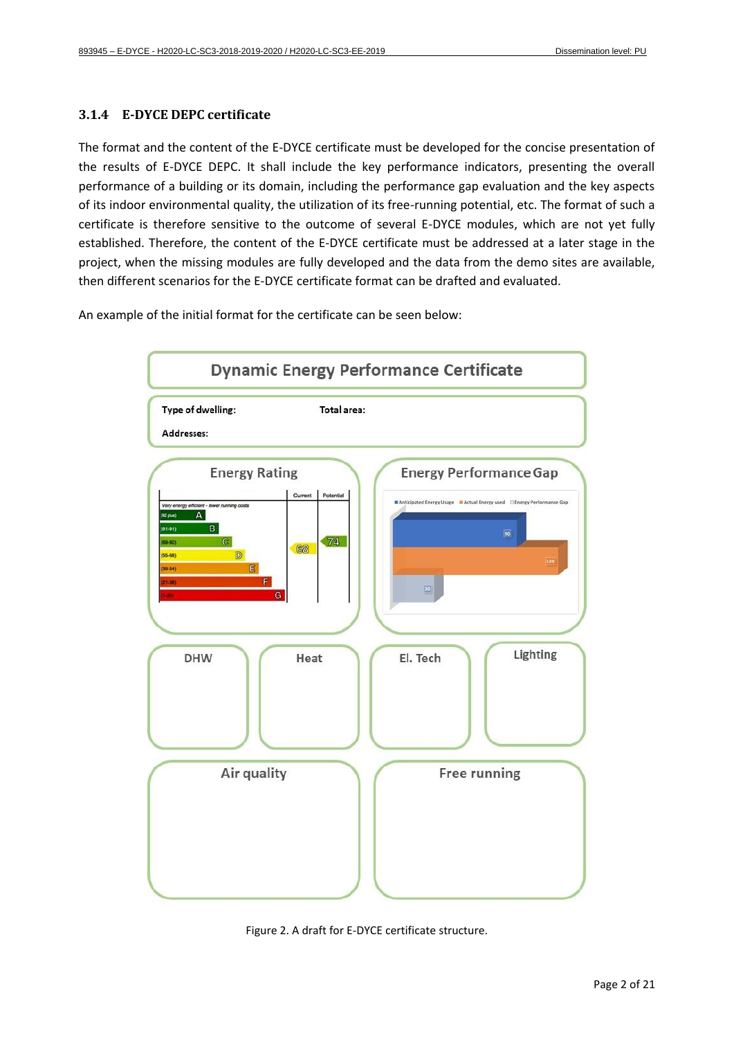#### <span id="page-18-0"></span>**3.1.4 E-DYCE DEPC certificate**

The format and the content of the E-DYCE certificate must be developed for the concise presentation of the results of E-DYCE DEPC. It shall include the key performance indicators, presenting the overall performance of a building or its domain, including the performance gap evaluation and the key aspects of its indoor environmental quality, the utilization of its free-running potential, etc. The format of such a certificate is therefore sensitive to the outcome of several E-DYCE modules, which are not yet fully established. Therefore, the content of the E-DYCE certificate must be addressed at a later stage in the project, when the missing modules are fully developed and the data from the demo sites are available, then different scenarios for the E-DYCE certificate format can be drafted and evaluated.

An example of the initial format for the certificate can be seen below:



<span id="page-18-1"></span>Figure 2. A draft for E-DYCE certificate structure.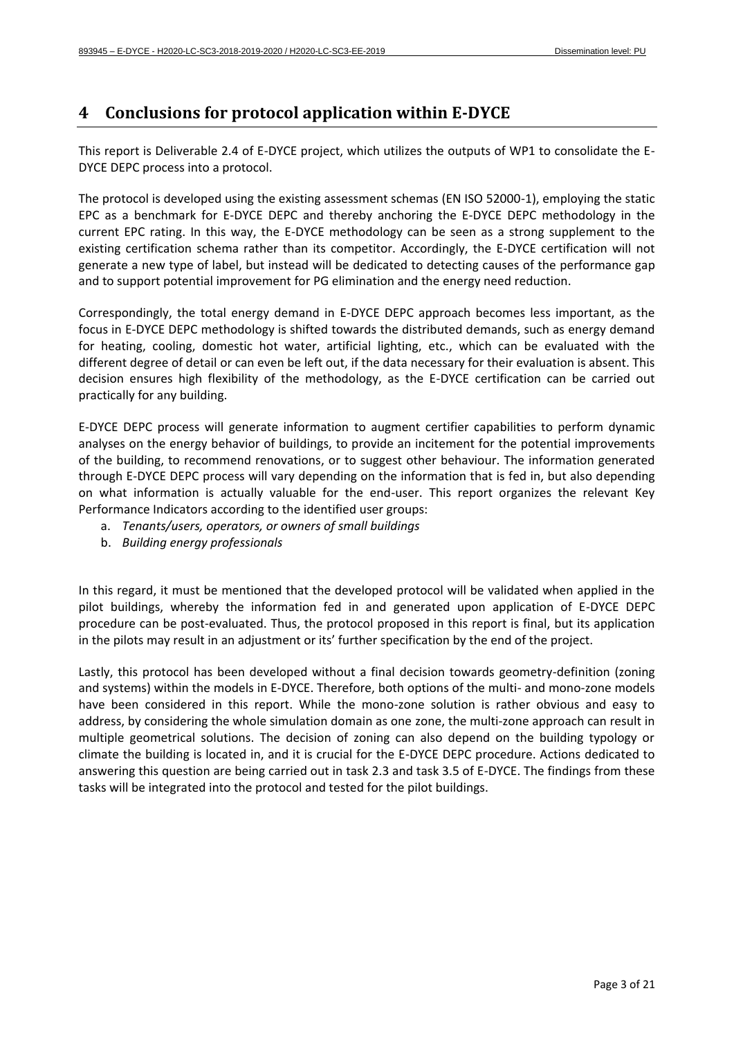## <span id="page-19-0"></span>**4 Conclusions for protocol application within E-DYCE**

This report is Deliverable 2.4 of E-DYCE project, which utilizes the outputs of WP1 to consolidate the E-DYCE DEPC process into a protocol.

The protocol is developed using the existing assessment schemas (EN ISO 52000-1), employing the static EPC as a benchmark for E-DYCE DEPC and thereby anchoring the E-DYCE DEPC methodology in the current EPC rating. In this way, the E-DYCE methodology can be seen as a strong supplement to the existing certification schema rather than its competitor. Accordingly, the E-DYCE certification will not generate a new type of label, but instead will be dedicated to detecting causes of the performance gap and to support potential improvement for PG elimination and the energy need reduction.

Correspondingly, the total energy demand in E-DYCE DEPC approach becomes less important, as the focus in E-DYCE DEPC methodology is shifted towards the distributed demands, such as energy demand for heating, cooling, domestic hot water, artificial lighting, etc., which can be evaluated with the different degree of detail or can even be left out, if the data necessary for their evaluation is absent. This decision ensures high flexibility of the methodology, as the E-DYCE certification can be carried out practically for any building.

E-DYCE DEPC process will generate information to augment certifier capabilities to perform dynamic analyses on the energy behavior of buildings, to provide an incitement for the potential improvements of the building, to recommend renovations, or to suggest other behaviour. The information generated through E-DYCE DEPC process will vary depending on the information that is fed in, but also depending on what information is actually valuable for the end-user. This report organizes the relevant Key Performance Indicators according to the identified user groups:

- a. *Tenants/users, operators, or owners of small buildings*
- b. *Building energy professionals*

In this regard, it must be mentioned that the developed protocol will be validated when applied in the pilot buildings, whereby the information fed in and generated upon application of E-DYCE DEPC procedure can be post-evaluated. Thus, the protocol proposed in this report is final, but its application in the pilots may result in an adjustment or its' further specification by the end of the project.

Lastly, this protocol has been developed without a final decision towards geometry-definition (zoning and systems) within the models in E-DYCE. Therefore, both options of the multi- and mono-zone models have been considered in this report. While the mono-zone solution is rather obvious and easy to address, by considering the whole simulation domain as one zone, the multi-zone approach can result in multiple geometrical solutions. The decision of zoning can also depend on the building typology or climate the building is located in, and it is crucial for the E-DYCE DEPC procedure. Actions dedicated to answering this question are being carried out in task 2.3 and task 3.5 of E-DYCE. The findings from these tasks will be integrated into the protocol and tested for the pilot buildings.